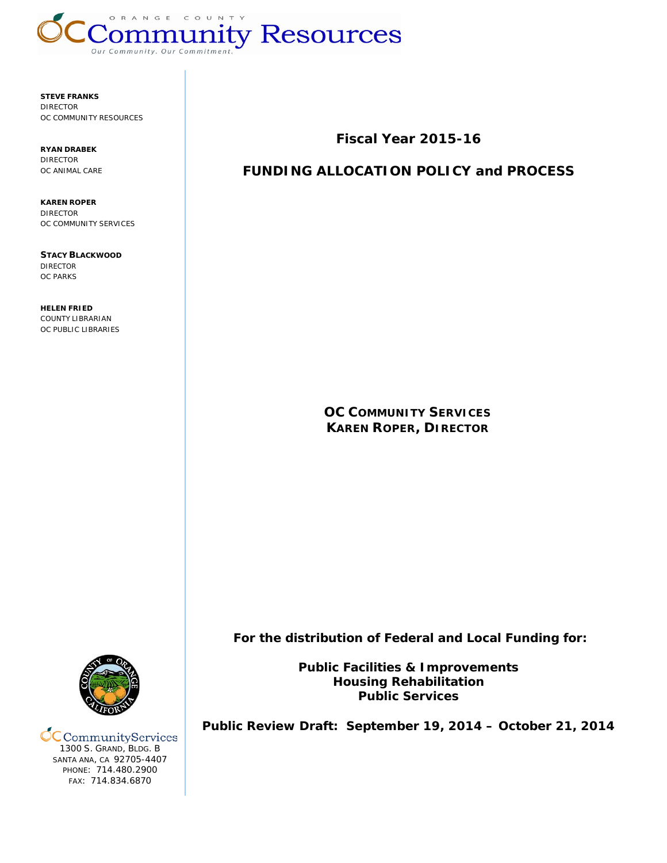

**STEVE FRANKS** DIRECTOR OC COMMUNITY RESOURCES

**RYAN DRABEK** DIRECTOR OC ANIMAL CARE

**KAREN ROPER** DIRECTOR OC COMMUNITY SERVICES

**STACY BLACKWOOD** DIRECTOR OC PARKS

**HELEN FRIED** COUNTY LIBRARIAN OC PUBLIC LIBRARIES **Fiscal Year 2015-16**

# **FUNDING ALLOCATION POLICY and PROCESS**

**OC COMMUNITY SERVICES KAREN ROPER, DIRECTOR**

**For the distribution of Federal and Local Funding for:**

**Public Facilities & Improvements Housing Rehabilitation Public Services**

**Public Review Draft: September 19, 2014 – October 21, 2014**



**CC** Community Services 1300 S. GRAND, BLDG. B SANTA ANA, CA 92705-4407 PHONE: 714.480.2900 FAX: 714.834.6870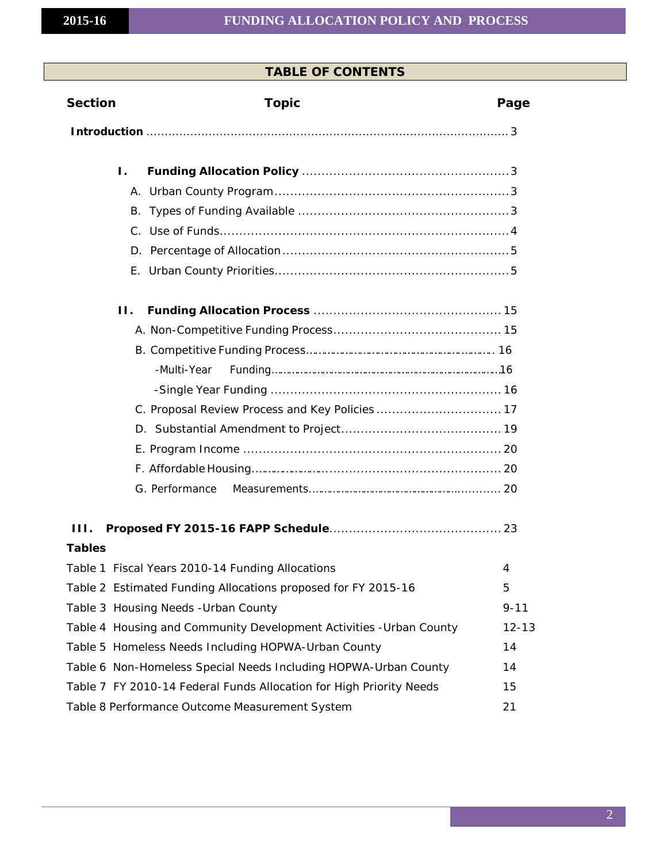# **TABLE OF CONTENTS**

| <b>Section</b> | <b>Topic</b>                                                        | Page      |
|----------------|---------------------------------------------------------------------|-----------|
|                |                                                                     |           |
|                | Ι.                                                                  |           |
|                |                                                                     |           |
|                |                                                                     |           |
|                |                                                                     |           |
|                |                                                                     |           |
|                |                                                                     |           |
|                | $\Pi$ .                                                             |           |
|                |                                                                     |           |
|                |                                                                     |           |
|                |                                                                     |           |
|                |                                                                     |           |
|                |                                                                     |           |
|                |                                                                     |           |
|                |                                                                     |           |
|                |                                                                     |           |
|                | G. Performance                                                      |           |
| III.           |                                                                     |           |
| <b>Tables</b>  |                                                                     |           |
|                | Table 1 Fiscal Years 2010-14 Funding Allocations                    | 4         |
|                | Table 2 Estimated Funding Allocations proposed for FY 2015-16       | 5         |
|                | Table 3 Housing Needs - Urban County                                | $9 - 11$  |
|                | Table 4 Housing and Community Development Activities - Urban County | $12 - 13$ |
|                | Table 5 Homeless Needs Including HOPWA-Urban County                 | 14        |
|                | Table 6 Non-Homeless Special Needs Including HOPWA-Urban County     | 14        |
|                | Table 7 FY 2010-14 Federal Funds Allocation for High Priority Needs | 15        |
|                | Table 8 Performance Outcome Measurement System                      | 21        |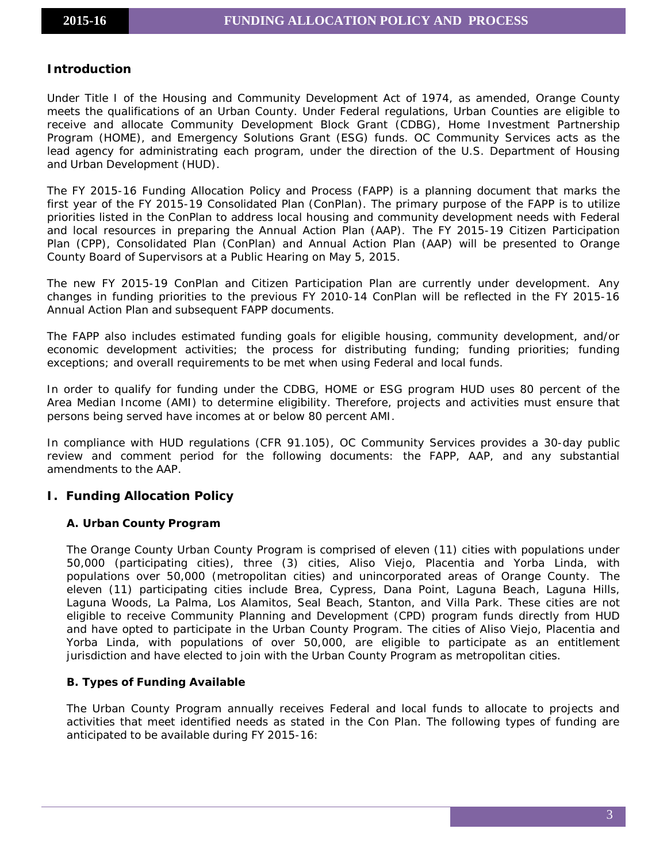# <span id="page-2-0"></span>**Introduction**

Under Title I of the Housing and Community Development Act of 1974, as amended, Orange County meets the qualifications of an Urban County. Under Federal regulations, Urban Counties are eligible to receive and allocate Community Development Block Grant (CDBG), Home Investment Partnership Program (HOME), and Emergency Solutions Grant (ESG) funds. OC Community Services acts as the lead agency for administrating each program, under the direction of the U.S. Department of Housing and Urban Development (HUD).

The FY 2015-16 Funding Allocation Policy and Process (FAPP) is a planning document that marks the first year of the FY 2015-19 Consolidated Plan (ConPlan). The primary purpose of the FAPP is to utilize priorities listed in the ConPlan to address local housing and community development needs with Federal and local resources in preparing the Annual Action Plan (AAP). The FY 2015-19 Citizen Participation Plan (CPP), Consolidated Plan (ConPlan) and Annual Action Plan (AAP) will be presented to Orange County Board of Supervisors at a Public Hearing on May 5, 2015.

The new FY 2015-19 ConPlan and Citizen Participation Plan are currently under development. Any changes in funding priorities to the previous FY 2010-14 ConPlan will be reflected in the FY 2015-16 Annual Action Plan and subsequent FAPP documents.

The FAPP also includes estimated funding goals for eligible housing, community development, and/or economic development activities; the process for distributing funding; funding priorities; funding exceptions; and overall requirements to be met when using Federal and local funds.

In order to qualify for funding under the CDBG, HOME or ESG program HUD uses 80 percent of the Area Median Income (AMI) to determine eligibility. Therefore, projects and activities must ensure that persons being served have incomes at or below 80 percent AMI.

In compliance with HUD regulations (CFR 91.105), OC Community Services provides a 30-day public review and comment period for the following documents: the FAPP, AAP, and any substantial amendments to the AAP.

# <span id="page-2-2"></span><span id="page-2-1"></span>**I. Funding Allocation Policy**

# **A. Urban County Program**

The Orange County Urban County Program is comprised of eleven (11) cities with populations under 50,000 (participating cities), three (3) cities, Aliso Viejo, Placentia and Yorba Linda, with populations over 50,000 (metropolitan cities) and unincorporated areas of Orange County. The eleven (11) participating cities include Brea, Cypress, Dana Point, Laguna Beach, Laguna Hills, Laguna Woods, La Palma, Los Alamitos, Seal Beach, Stanton, and Villa Park. These cities are not eligible to receive Community Planning and Development (CPD) program funds directly from HUD and have opted to participate in the Urban County Program. The cities of Aliso Viejo, Placentia and Yorba Linda, with populations of over 50,000, are eligible to participate as an entitlement jurisdiction and have elected to join with the Urban County Program as metropolitan cities.

# <span id="page-2-3"></span>**B. Types of Funding Available**

The Urban County Program annually receives Federal and local funds to allocate to projects and activities that meet identified needs as stated in the Con Plan. The following types of funding are anticipated to be available during FY 2015-16: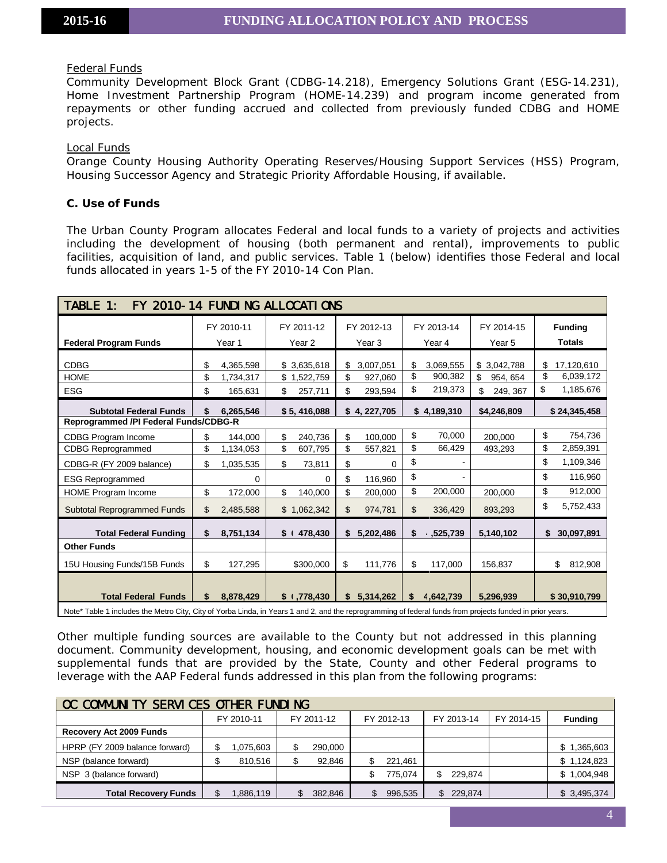#### Federal Funds

Community Development Block Grant (CDBG-14.218), Emergency Solutions Grant (ESG-14.231), Home Investment Partnership Program (HOME-14.239) and program income generated from repayments or other funding accrued and collected from previously funded CDBG and HOME projects.

#### Local Funds

Orange County Housing Authority Operating Reserves/Housing Support Services (HSS) Program, Housing Successor Agency and Strategic Priority Affordable Housing, if available.

# <span id="page-3-0"></span>**C. Use of Funds**

The Urban County Program allocates Federal and local funds to a variety of projects and activities including the development of housing (both permanent and rental), improvements to public facilities, acquisition of land, and public services. Table 1 (below) identifies those Federal and local funds allocated in years 1-5 of the FY 2010-14 Con Plan.

| TABLE 1:<br>FY 2010-14 FUNDING ALLOCATIONS |                                                                                                                                                           |             |                   |    |                   |    |             |                |    |                |
|--------------------------------------------|-----------------------------------------------------------------------------------------------------------------------------------------------------------|-------------|-------------------|----|-------------------|----|-------------|----------------|----|----------------|
|                                            | FY 2010-11                                                                                                                                                |             | FY 2011-12        |    | FY 2012-13        |    | FY 2013-14  | FY 2014-15     |    | <b>Funding</b> |
| <b>Federal Program Funds</b>               | Year 1                                                                                                                                                    |             | Year <sub>2</sub> |    | Year <sub>3</sub> |    | Year 4      | Year 5         |    | <b>Totals</b>  |
| <b>CDBG</b>                                | \$<br>4,365,598                                                                                                                                           |             | \$3,635,618       | \$ | 3,007,051         | \$ | 3,069,555   | \$3,042,788    | \$ | 17,120,610     |
| <b>HOME</b>                                | \$<br>1,734,317                                                                                                                                           |             | \$1,522,759       | \$ | 927,060           | \$ | 900,382     | \$<br>954, 654 | \$ | 6,039,172      |
| <b>ESG</b>                                 | \$<br>165,631                                                                                                                                             | \$          | 257,711           | \$ | 293,594           | \$ | 219,373     | \$<br>249, 367 | \$ | 1,185,676      |
| <b>Subtotal Federal Funds</b>              | \$<br>6,265,546                                                                                                                                           |             | \$5,416,088       |    | \$4, 227,705      |    | \$4,189,310 | \$4,246,809    |    | \$24,345,458   |
| Reprogrammed /PI Federal Funds/CDBG-R      |                                                                                                                                                           |             |                   |    |                   |    |             |                |    |                |
| <b>CDBG Program Income</b>                 | \$<br>144,000                                                                                                                                             | \$          | 240,736           | \$ | 100.000           | \$ | 70,000      | 200,000        | \$ | 754,736        |
| <b>CDBG Reprogrammed</b>                   | \$<br>1,134,053                                                                                                                                           | \$          | 607,795           | \$ | 557,821           | \$ | 66,429      | 493,293        | \$ | 2,859,391      |
| CDBG-R (FY 2009 balance)                   | \$<br>1,035,535                                                                                                                                           | \$          | 73,811            | \$ | $\Omega$          | \$ |             |                | \$ | 1,109,346      |
| <b>ESG Reprogrammed</b>                    | 0                                                                                                                                                         |             | $\Omega$          | \$ | 116,960           | \$ |             |                | \$ | 116,960        |
| <b>HOME Program Income</b>                 | \$<br>172,000                                                                                                                                             | \$          | 140,000           | \$ | 200,000           | \$ | 200,000     | 200,000        | \$ | 912,000        |
| <b>Subtotal Reprogrammed Funds</b>         | \$<br>2,485,588                                                                                                                                           |             | .062,342<br>\$1   | \$ | 974,781           | \$ | 336,429     | 893,293        | \$ | 5,752,433      |
| <b>Total Federal Funding</b>               | \$<br>8,751,134                                                                                                                                           | $$^{\circ}$ | 478,430           | \$ | 5,202,486         | \$ | , 525, 739  | 5,140,102      | \$ | 30,097,891     |
| <b>Other Funds</b>                         |                                                                                                                                                           |             |                   |    |                   |    |             |                |    |                |
| 15U Housing Funds/15B Funds                | \$<br>127,295                                                                                                                                             |             | \$300,000         | \$ | 111,776           | \$ | 117,000     | 156,837        |    | \$<br>812,908  |
|                                            |                                                                                                                                                           |             |                   |    |                   |    |             |                |    |                |
| <b>Total Federal Funds</b>                 | \$<br>8,878,429                                                                                                                                           |             | \$1,778,430       | \$ | 5,314,262         | \$ | 4,642,739   | 5.296.939      |    | \$30,910,799   |
|                                            | Note* Table 1 includes the Metro City, City of Yorba Linda, in Years 1 and 2, and the reprogramming of federal funds from projects funded in prior years. |             |                   |    |                   |    |             |                |    |                |

Other multiple funding sources are available to the County but not addressed in this planning document. Community development, housing, and economic development goals can be met with supplemental funds that are provided by the State, County and other Federal programs to leverage with the AAP Federal funds addressed in this plan from the following programs:

| OC COMMUNITY SERVICES OTHER FUNDING |            |              |            |            |            |                  |  |  |  |  |
|-------------------------------------|------------|--------------|------------|------------|------------|------------------|--|--|--|--|
|                                     | FY 2010-11 | FY 2011-12   | FY 2012-13 | FY 2013-14 | FY 2014-15 | <b>Funding</b>   |  |  |  |  |
| <b>Recovery Act 2009 Funds</b>      |            |              |            |            |            |                  |  |  |  |  |
| HPRP (FY 2009 balance forward)      | .075,603   | 290,000<br>S |            |            |            | 1,365,603<br>\$  |  |  |  |  |
| NSP (balance forward)               | 810,516    | 92.846       | 221.461    |            |            | \$1,124,823      |  |  |  |  |
| NSP 3 (balance forward)             |            |              | 775.074    | 229.874    |            | 1,004,948<br>\$. |  |  |  |  |
| <b>Total Recovery Funds</b>         | .886.119   | 382.846      | 996.535    | 229.874    |            | \$3,495,374      |  |  |  |  |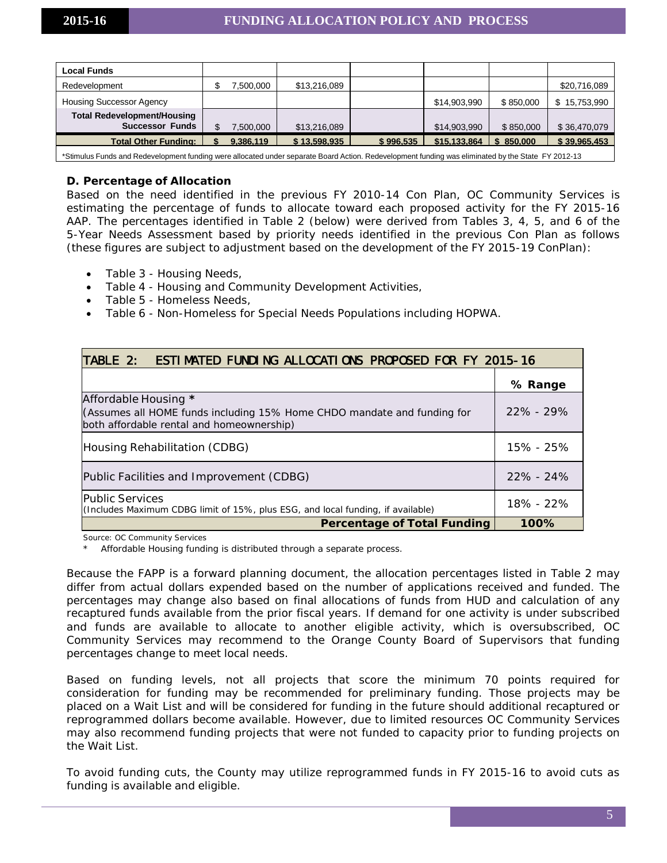| <b>Local Funds</b>                                           |           |              |           |              |           |              |
|--------------------------------------------------------------|-----------|--------------|-----------|--------------|-----------|--------------|
| Redevelopment                                                | 500,000   | \$13,216,089 |           |              |           | \$20,716,089 |
| <b>Housing Successor Agency</b>                              |           |              |           | \$14,903,990 | \$850,000 | \$15,753,990 |
| <b>Total Redevelopment/Housing</b><br><b>Successor Funds</b> | 7.500.000 | \$13,216,089 |           | \$14,903,990 | \$850,000 | \$36,470,079 |
| <b>Total Other Funding:</b>                                  | 9.386.119 | \$13.598.935 | \$996.535 | \$15,133,864 | \$850,000 | \$39,965,453 |
|                                                              |           |              |           |              |           |              |

<span id="page-4-0"></span>\*Stimulus Funds and Redevelopment funding were allocated under separate Board Action. Redevelopment funding was eliminated by the State FY 2012-13

#### **D. Percentage of Allocation**

Based on the need identified in the previous FY 2010-14 Con Plan, OC Community Services is estimating the percentage of funds to allocate toward each proposed activity for the FY 2015-16 AAP. The percentages identified in Table 2 (below) were derived from Tables 3, 4, 5, and 6 of the 5-Year Needs Assessment based by priority needs identified in the previous Con Plan as follows (these figures are subject to adjustment based on the development of the FY 2015-19 ConPlan):

- Table 3 Housing Needs,
- Table 4 Housing and Community Development Activities,
- Table 5 Homeless Needs,
- Table 6 Non-Homeless for Special Needs Populations including HOPWA.

| <b>ESTIMATED FUNDING ALLOCATIONS PROPOSED FOR FY 2015-16</b><br>TABLE 2:                                                                     |               |
|----------------------------------------------------------------------------------------------------------------------------------------------|---------------|
|                                                                                                                                              | % Range       |
| Affordable Housing *<br>(Assumes all HOME funds including 15% Home CHDO mandate and funding for<br>both affordable rental and homeownership) | $22\%$ - 29%  |
| Housing Rehabilitation (CDBG)                                                                                                                | 15% - 25%     |
| Public Facilities and Improvement (CDBG)                                                                                                     | $22\% - 24\%$ |
| <b>Public Services</b><br>(Includes Maximum CDBG limit of 15%, plus ESG, and local funding, if available)                                    | $18\% - 22\%$ |
| <b>Percentage of Total Funding</b>                                                                                                           | 100%          |

Source: OC Community Services

Affordable Housing funding is distributed through a separate process.

Because the FAPP is a forward planning document, the allocation percentages listed in Table 2 may differ from actual dollars expended based on the number of applications received and funded. The percentages may change also based on final allocations of funds from HUD and calculation of any recaptured funds available from the prior fiscal years. If demand for one activity is under subscribed and funds are available to allocate to another eligible activity, which is oversubscribed, OC Community Services may recommend to the Orange County Board of Supervisors that funding percentages change to meet local needs.

Based on funding levels, not all projects that score the minimum 70 points required for consideration for funding may be recommended for preliminary funding. Those projects may be placed on a Wait List and will be considered for funding in the future should additional recaptured or reprogrammed dollars become available. However, due to limited resources OC Community Services may also recommend funding projects that were not funded to capacity prior to funding projects on the Wait List.

To avoid funding cuts, the County may utilize reprogrammed funds in FY 2015-16 to avoid cuts as funding is available and eligible.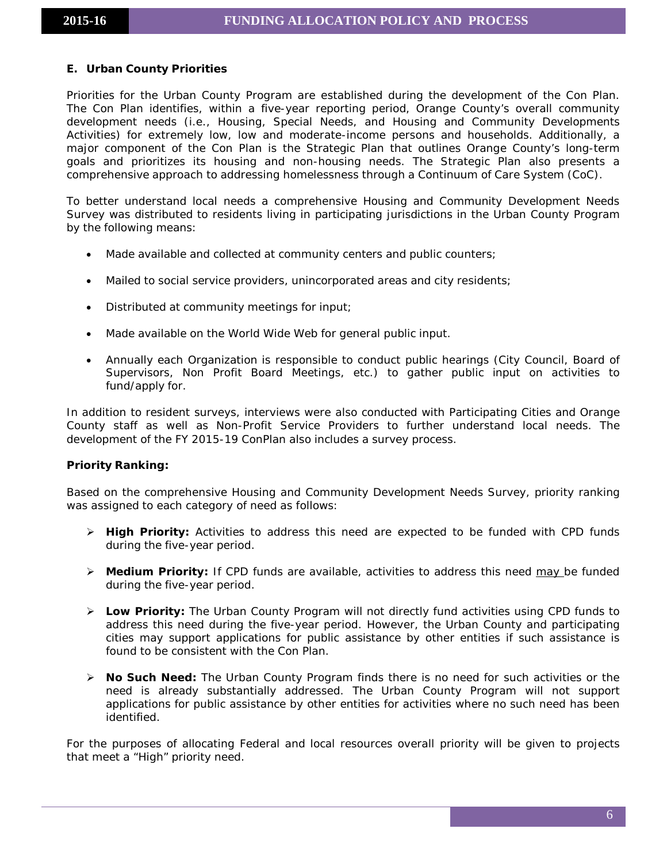# <span id="page-5-0"></span>**E. Urban County Priorities**

Priorities for the Urban County Program are established during the development of the Con Plan. The Con Plan identifies, within a five-year reporting period, Orange County's overall community development needs (i.e., Housing, Special Needs, and Housing and Community Developments Activities) for extremely low, low and moderate-income persons and households. Additionally, a major component of the Con Plan is the Strategic Plan that outlines Orange County's long-term goals and prioritizes its housing and non-housing needs. The Strategic Plan also presents a comprehensive approach to addressing homelessness through a Continuum of Care System (CoC).

To better understand local needs a comprehensive Housing and Community Development Needs Survey was distributed to residents living in participating jurisdictions in the Urban County Program by the following means:

- Made available and collected at community centers and public counters;
- Mailed to social service providers, unincorporated areas and city residents;
- Distributed at community meetings for input;
- Made available on the World Wide Web for general public input.
- Annually each Organization is responsible to conduct public hearings (City Council, Board of Supervisors, Non Profit Board Meetings, etc.) to gather public input on activities to fund/apply for.

In addition to resident surveys, interviews were also conducted with Participating Cities and Orange County staff as well as Non-Profit Service Providers to further understand local needs. The development of the FY 2015-19 ConPlan also includes a survey process.

# **Priority Ranking:**

Based on the comprehensive Housing and Community Development Needs Survey, priority ranking was assigned to each category of need as follows:

- **High Priority:** Activities to address this need are expected to be funded with CPD funds during the five-year period.
- **Medium Priority:** If CPD funds are available, activities to address this need may be funded during the five-year period.
- **Low Priority:** The Urban County Program will not directly fund activities using CPD funds to address this need during the five-year period. However, the Urban County and participating cities may support applications for public assistance by other entities if such assistance is found to be consistent with the Con Plan.
- **No Such Need:** The Urban County Program finds there is no need for such activities or the need is already substantially addressed. The Urban County Program will not support applications for public assistance by other entities for activities where no such need has been identified.

For the purposes of allocating Federal and local resources overall priority will be given to projects that meet a "High" priority need.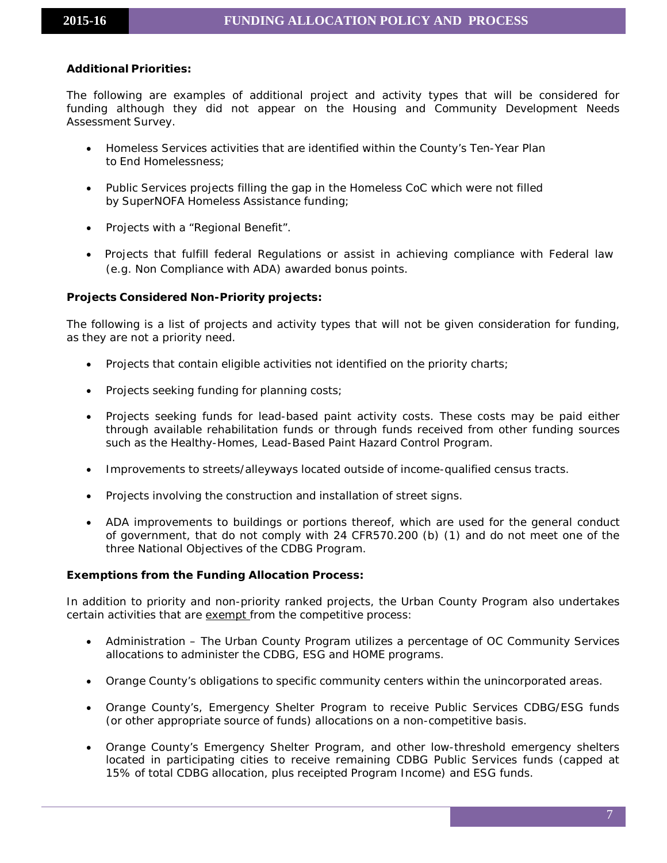# **Additional Priorities:**

The following are examples of additional project and activity types that will be considered for funding although they did not appear on the Housing and Community Development Needs Assessment Survey.

- Homeless Services activities that are identified within the County's Ten-Year Plan to End Homelessness;
- Public Services projects filling the gap in the Homeless CoC which were not filled by SuperNOFA Homeless Assistance funding;
- Projects with a "Regional Benefit".
- Projects that fulfill federal Regulations or assist in achieving compliance with Federal law (e.g. Non Compliance with ADA) awarded bonus points.

# **Projects Considered Non-Priority projects:**

The following is a list of projects and activity types that will not be given consideration for funding, as they are not a priority need.

- Projects that contain eligible activities not identified on the priority charts;
- Projects seeking funding for planning costs;
- Projects seeking funds for lead-based paint activity costs. These costs may be paid either through available rehabilitation funds or through funds received from other funding sources such as the Healthy-Homes, Lead-Based Paint Hazard Control Program.
- Improvements to streets/alleyways located outside of income-qualified census tracts.
- Projects involving the construction and installation of street signs.
- ADA improvements to buildings or portions thereof, which are used for the general conduct of government, that do not comply with 24 CFR570.200 (b) (1) and do not meet one of the three National Objectives of the CDBG Program.

#### **Exemptions from the Funding Allocation Process:**

In addition to priority and non-priority ranked projects, the Urban County Program also undertakes certain activities that are exempt from the competitive process:

- Administration The Urban County Program utilizes a percentage of OC Community Services allocations to administer the CDBG, ESG and HOME programs.
- Orange County's obligations to specific community centers within the unincorporated areas.
- Orange County's, Emergency Shelter Program to receive Public Services CDBG/ESG funds (or other appropriate source of funds) allocations on a non-competitive basis.
- Orange County's Emergency Shelter Program, and other low-threshold emergency shelters located in participating cities to receive remaining CDBG Public Services funds (capped at 15% of total CDBG allocation, plus receipted Program Income) and ESG funds.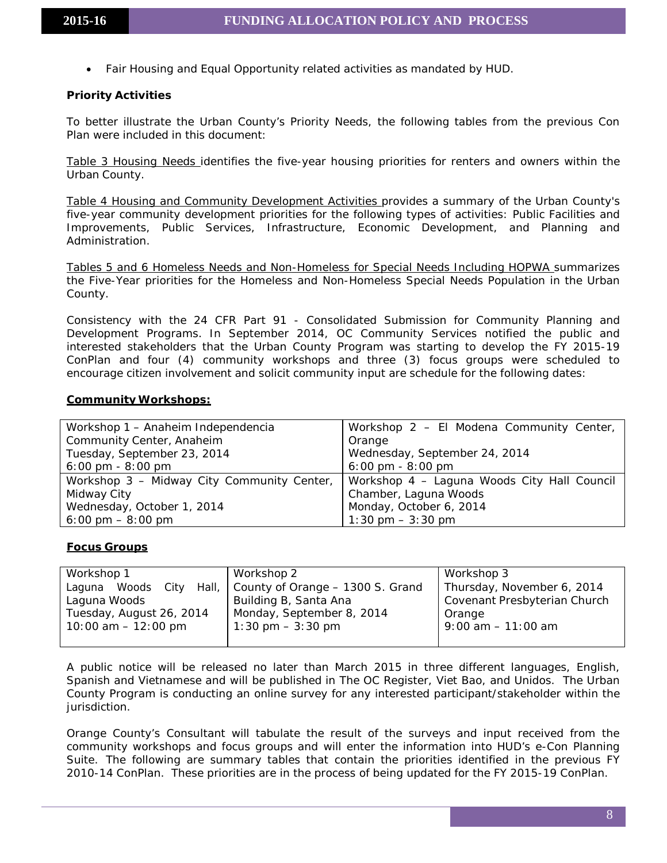• Fair Housing and Equal Opportunity related activities as mandated by HUD.

#### **Priority Activities**

To better illustrate the Urban County's Priority Needs, the following tables from the previous Con Plan were included in this document:

Table 3 Housing Needs identifies the five-year housing priorities for renters and owners within the Urban County.

Table 4 Housing and Community Development Activities provides a summary of the Urban County's five-year community development priorities for the following types of activities: Public Facilities and Improvements, Public Services, Infrastructure, Economic Development, and Planning and Administration.

Tables 5 and 6 Homeless Needs and Non-Homeless for Special Needs Including HOPWA summarizes the Five-Year priorities for the Homeless and Non-Homeless Special Needs Population in the Urban County.

Consistency with the 24 CFR Part 91 - Consolidated Submission for Community Planning and Development Programs. In September 2014, OC Community Services notified the public and interested stakeholders that the Urban County Program was starting to develop the FY 2015-19 ConPlan and four (4) community workshops and three (3) focus groups were scheduled to encourage citizen involvement and solicit community input are schedule for the following dates:

#### **Community Workshops:**

| Workshop 1 - Anaheim Independencia         | Workshop 2 - El Modena Community Center,    |
|--------------------------------------------|---------------------------------------------|
| Community Center, Anaheim                  | Orange                                      |
| Tuesday, September 23, 2014                | Wednesday, September 24, 2014               |
| $6:00 \text{ pm} - 8:00 \text{ pm}$        | $6:00 \text{ pm} - 8:00 \text{ pm}$         |
| Workshop 3 - Midway City Community Center, | Workshop 4 – Laguna Woods City Hall Council |
| Midway City                                | Chamber, Laguna Woods                       |
| Wednesday, October 1, 2014                 | Monday, October 6, 2014                     |
| $6:00 \text{ pm} - 8:00 \text{ pm}$        | $1:30 \text{ pm} - 3:30 \text{ pm}$         |

#### **Focus Groups**

| Workshop 1               | Workshop 2                                            | Workshop 3                 |  |  |
|--------------------------|-------------------------------------------------------|----------------------------|--|--|
| Laguna Woods City        | Hall,   County of Orange - 1300 S. Grand              | Thursday, November 6, 2014 |  |  |
| Laguna Woods             | Covenant Presbyterian Church<br>Building B, Santa Ana |                            |  |  |
| Tuesday, August 26, 2014 | Monday, September 8, 2014                             | Orange                     |  |  |
| $10:00$ am $-12:00$ pm   | $1:30 \text{ pm} - 3:30 \text{ pm}$                   | $9:00$ am $-11:00$ am      |  |  |
|                          |                                                       |                            |  |  |

A public notice will be released no later than March 2015 in three different languages, English, Spanish and Vietnamese and will be published in *The OC Register, Viet Bao, and Unidos*. The Urban County Program is conducting an online survey for any interested participant/stakeholder within the jurisdiction.

Orange County's Consultant will tabulate the result of the surveys and input received from the community workshops and focus groups and will enter the information into HUD's e-Con Planning Suite. The following are summary tables that contain the priorities identified in the previous FY 2010-14 ConPlan. These priorities are in the process of being updated for the FY 2015-19 ConPlan.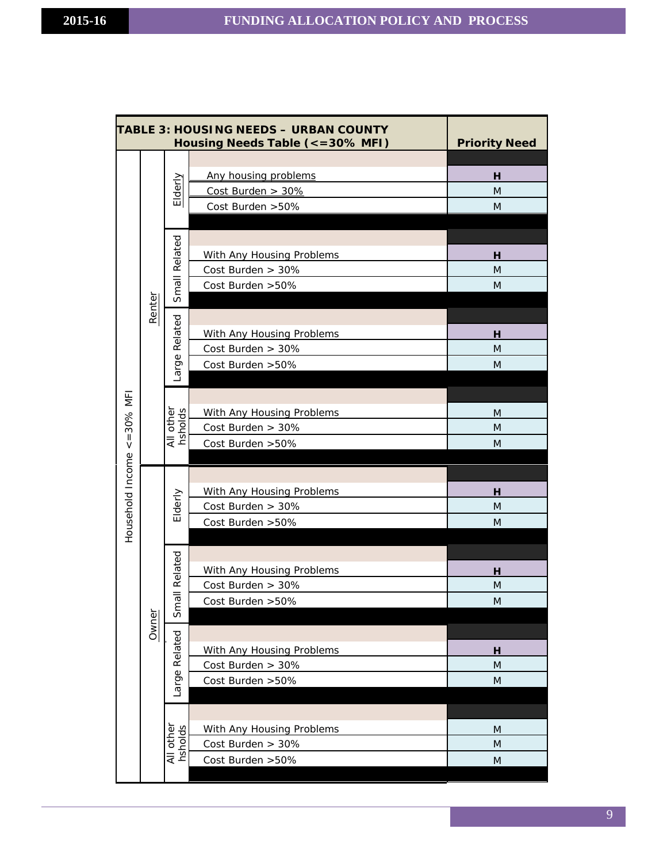|                                     |        |                                | TABLE 3: HOUSING NEEDS - URBAN COUNTY<br>Housing Needs Table (<=30% MFI)                                                                   | <b>Priority Need</b>              |
|-------------------------------------|--------|--------------------------------|--------------------------------------------------------------------------------------------------------------------------------------------|-----------------------------------|
|                                     |        | Elderly                        | Any housing problems<br>Cost Burden > 30%<br>Cost Burden > 50%                                                                             | н<br>M<br>M                       |
|                                     | Renter | Small Related<br>Large Related | With Any Housing Problems<br>Cost Burden > 30%<br>Cost Burden > 50%<br>With Any Housing Problems<br>Cost Burden > 30%<br>Cost Burden > 50% | н<br>M<br>M<br><u>н</u><br>M<br>M |
| $\leq$ = 30% MF<br>Household Income |        | All other<br>hsholds           | With Any Housing Problems<br>Cost Burden > 30%<br>Cost Burden > 50%                                                                        | M<br>M<br>M                       |
|                                     |        | Elderly                        | With Any Housing Problems<br>Cost Burden > 30%<br>Cost Burden > 50%                                                                        | н<br>M<br>M                       |
|                                     |        | Small Related                  | With Any Housing Problems<br>Cost Burden > 30%<br>Cost Burden > 50%                                                                        | н<br>M<br>M                       |
|                                     | Owner  | Large Related                  | With Any Housing Problems<br>Cost Burden > 30%<br>Cost Burden > 50%                                                                        | н<br>M<br>${\sf M}$               |
|                                     |        | All other<br>hsholds           | With Any Housing Problems<br>Cost Burden > 30%<br>Cost Burden > 50%                                                                        | M<br>M<br>M                       |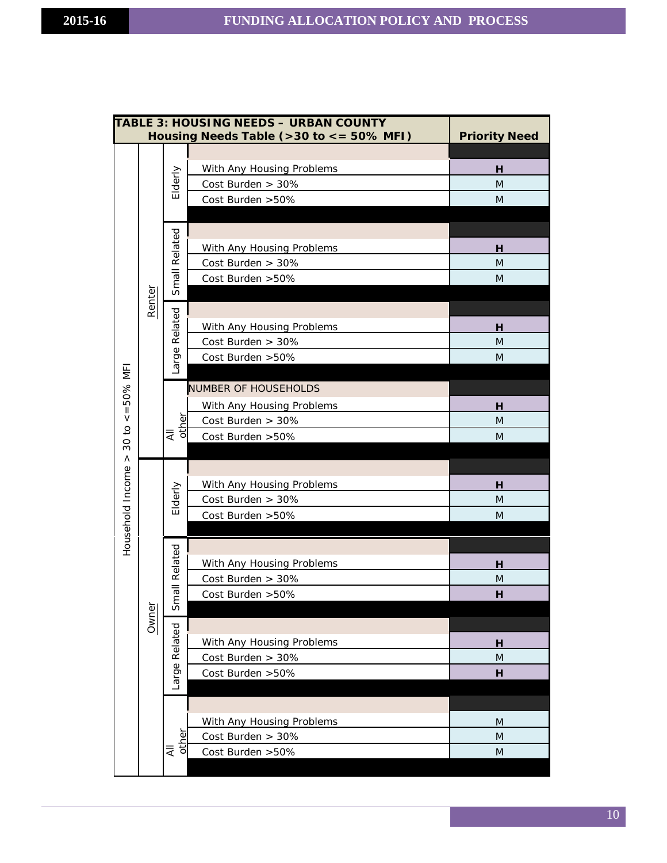|                  |        |               | <b>TABLE 3: HOUSING NEEDS - URBAN COUNTY</b><br>Housing Needs Table (>30 to <= 50% MFI) | <b>Priority Need</b> |
|------------------|--------|---------------|-----------------------------------------------------------------------------------------|----------------------|
|                  |        |               |                                                                                         |                      |
|                  |        |               | With Any Housing Problems                                                               | н                    |
|                  |        | Elderly       | Cost Burden > 30%                                                                       | M                    |
|                  |        |               | Cost Burden > 50%                                                                       | M                    |
|                  |        |               |                                                                                         |                      |
|                  |        |               |                                                                                         |                      |
|                  |        |               | With Any Housing Problems                                                               | н                    |
|                  |        |               | Cost Burden > 30%                                                                       | M                    |
|                  |        | Small Related | Cost Burden > 50%                                                                       | M                    |
|                  | Renter |               |                                                                                         |                      |
|                  |        |               |                                                                                         |                      |
|                  |        |               | With Any Housing Problems                                                               | н                    |
| $<=50\%$ MF      |        |               | Cost Burden > 30%                                                                       | M                    |
|                  |        | Large Related | Cost Burden > 50%                                                                       | M                    |
|                  |        |               |                                                                                         |                      |
|                  |        |               | <b>NUMBER OF HOUSEHOLDS</b>                                                             |                      |
|                  |        | other<br>₹    | With Any Housing Problems                                                               | н                    |
|                  |        |               | Cost Burden > 30%                                                                       | M                    |
| 30 to            |        |               | Cost Burden > 50%                                                                       | M                    |
| $\wedge$         |        |               |                                                                                         |                      |
|                  |        |               |                                                                                         |                      |
|                  |        |               | With Any Housing Problems                                                               | н                    |
|                  |        | Elderly       | Cost Burden > 30%                                                                       | M                    |
|                  |        |               | Cost Burden > 50%                                                                       | M                    |
| Household Income |        |               |                                                                                         |                      |
|                  |        | mall Related  |                                                                                         |                      |
|                  |        |               | With Any Housing Problems                                                               | н                    |
|                  |        |               | Cost Burden > 30%                                                                       | M                    |
|                  |        | w             | Cost Burden > 50%                                                                       | н                    |
|                  | Owner  |               |                                                                                         |                      |
|                  |        | Related       |                                                                                         |                      |
|                  |        |               | With Any Housing Problems                                                               | <u>н</u>             |
|                  |        |               | Cost Burden > 30%                                                                       | M                    |
|                  |        | Large         | Cost Burden > 50%                                                                       | н                    |
|                  |        |               |                                                                                         |                      |
|                  |        |               | With Any Housing Problems                                                               |                      |
|                  |        |               | Cost Burden > 30%                                                                       | M<br>M               |
|                  |        | other<br>₹    | Cost Burden > 50%                                                                       | M                    |
|                  |        |               |                                                                                         |                      |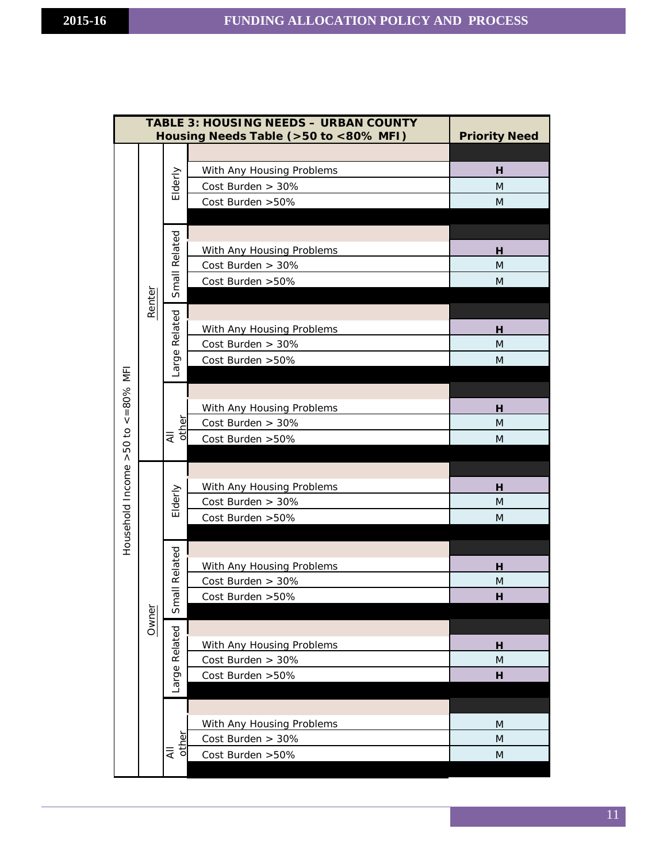|                         |        |               | <b>TABLE 3: HOUSING NEEDS - URBAN COUNTY</b><br>Housing Needs Table (>50 to <80% MFI) | <b>Priority Need</b> |
|-------------------------|--------|---------------|---------------------------------------------------------------------------------------|----------------------|
|                         |        |               |                                                                                       |                      |
|                         |        |               | With Any Housing Problems                                                             | н                    |
|                         |        | Elderly       | Cost Burden > 30%                                                                     | M                    |
|                         |        |               | Cost Burden > 50%                                                                     | M                    |
|                         |        |               |                                                                                       |                      |
|                         |        |               |                                                                                       |                      |
|                         |        |               | With Any Housing Problems                                                             | н                    |
|                         |        |               | Cost Burden > 30%                                                                     | M                    |
|                         |        | Small Related | Cost Burden > 50%                                                                     | M                    |
|                         | Renter |               |                                                                                       |                      |
|                         |        |               |                                                                                       |                      |
|                         |        |               | With Any Housing Problems                                                             | н                    |
|                         |        |               | Cost Burden > 30%                                                                     | M                    |
|                         |        | Large Related | Cost Burden > 50%                                                                     | M                    |
|                         |        |               |                                                                                       |                      |
|                         |        |               |                                                                                       |                      |
| $\leq -80\%$ MFI        |        | 새<br>other    | With Any Housing Problems<br>Cost Burden > 30%                                        | н<br>M               |
|                         |        |               | Cost Burden > 50%                                                                     | M                    |
|                         |        |               |                                                                                       |                      |
| Household Income >50 to |        |               |                                                                                       |                      |
|                         |        |               | With Any Housing Problems                                                             | н                    |
|                         |        | Elderly       | Cost Burden > 30%                                                                     | M                    |
|                         |        |               | Cost Burden > 50%                                                                     | M                    |
|                         |        |               |                                                                                       |                      |
|                         |        |               |                                                                                       |                      |
|                         |        |               | With Any Housing Problems                                                             | н                    |
|                         |        |               | Cost Burden > 30%                                                                     | M                    |
|                         |        | Small Related | Cost Burden > 50%                                                                     | н                    |
|                         | Owner  |               |                                                                                       |                      |
|                         |        |               |                                                                                       |                      |
|                         |        | Related       | With Any Housing Problems                                                             | н                    |
|                         |        |               | Cost Burden > 30%                                                                     | M                    |
|                         |        | Large         | Cost Burden > 50%                                                                     | н                    |
|                         |        |               |                                                                                       |                      |
|                         |        |               |                                                                                       |                      |
|                         |        |               | With Any Housing Problems                                                             | M                    |
|                         |        | other<br>₹    | Cost Burden > 30%<br>Cost Burden > 50%                                                | M<br>M               |
|                         |        |               |                                                                                       |                      |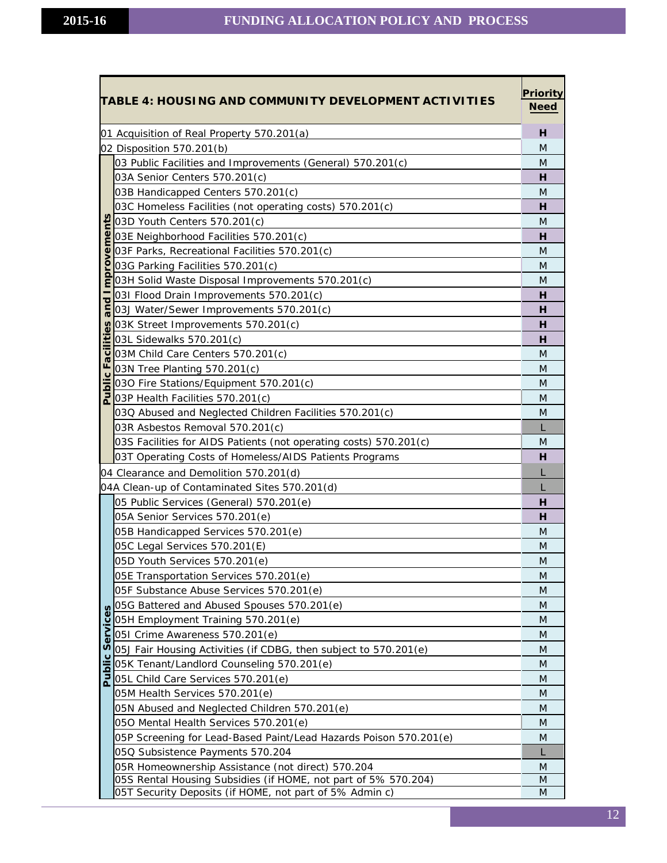|          | TABLE 4: HOUSING AND COMMUNITY DEVELOPMENT ACTIVITIES             | <b>Priority</b><br><b>Need</b> |  |  |  |  |  |
|----------|-------------------------------------------------------------------|--------------------------------|--|--|--|--|--|
|          | 01 Acquisition of Real Property 570.201(a)                        | н                              |  |  |  |  |  |
|          | 02 Disposition 570.201(b)                                         | M                              |  |  |  |  |  |
|          | 03 Public Facilities and Improvements (General) 570.201(c)        | M                              |  |  |  |  |  |
|          | 03A Senior Centers 570.201(c)                                     | н                              |  |  |  |  |  |
|          | 03B Handicapped Centers 570.201(c)                                | M                              |  |  |  |  |  |
|          | 03C Homeless Facilities (not operating costs) 570.201(c)          | н                              |  |  |  |  |  |
|          | 03D Youth Centers 570.201(c)                                      | M                              |  |  |  |  |  |
|          | 03E Neighborhood Facilities 570.201(c)                            | н                              |  |  |  |  |  |
| proveme  | 03F Parks, Recreational Facilities 570.201(c)                     | M                              |  |  |  |  |  |
|          | 03G Parking Facilities 570.201(c)                                 | M                              |  |  |  |  |  |
|          | 03H Solid Waste Disposal Improvements 570.201(c)                  | M                              |  |  |  |  |  |
| ರ        | 031 Flood Drain Improvements 570.201(c)                           | н                              |  |  |  |  |  |
|          | 03J Water/Sewer Improvements 570.201(c)                           | н                              |  |  |  |  |  |
|          | 03K Street Improvements 570.201(c)                                | н                              |  |  |  |  |  |
|          | 03L Sidewalks 570.201(c)                                          | н                              |  |  |  |  |  |
| <u>ত</u> | 03M Child Care Centers 570.201(c)                                 | M                              |  |  |  |  |  |
| ര        | 03N Tree Planting 570.201(c)                                      | M                              |  |  |  |  |  |
| ublic    | 03O Fire Stations/Equipment 570.201(c)                            | M                              |  |  |  |  |  |
|          | 03P Health Facilities 570.201(c)                                  | M                              |  |  |  |  |  |
|          | 03Q Abused and Neglected Children Facilities 570.201(c)           | M                              |  |  |  |  |  |
|          | 03R Asbestos Removal 570.201(c)                                   |                                |  |  |  |  |  |
|          | 03S Facilities for AIDS Patients (not operating costs) 570.201(c) | M                              |  |  |  |  |  |
|          | 03T Operating Costs of Homeless/AIDS Patients Programs            | н                              |  |  |  |  |  |
|          | 04 Clearance and Demolition 570.201(d)                            |                                |  |  |  |  |  |
|          | 04A Clean-up of Contaminated Sites 570.201(d)                     |                                |  |  |  |  |  |
|          | 05 Public Services (General) 570.201(e)                           | H                              |  |  |  |  |  |
|          | 05A Senior Services 570.201(e)                                    | н                              |  |  |  |  |  |
|          | 05B Handicapped Services 570.201(e)                               | M                              |  |  |  |  |  |
|          | 05C Legal Services 570.201(E)                                     | M                              |  |  |  |  |  |
|          | 05D Youth Services 570.201(e)                                     | M                              |  |  |  |  |  |
|          | 05E Transportation Services 570.201(e)                            | M                              |  |  |  |  |  |
|          | 05F Substance Abuse Services 570.201(e)                           | M                              |  |  |  |  |  |
|          | 05G Battered and Abused Spouses 570.201(e)                        | M                              |  |  |  |  |  |
| ervices  | 05H Employment Training 570.201(e)                                | M                              |  |  |  |  |  |
|          | 051 Crime Awareness 570.201(e)                                    | M                              |  |  |  |  |  |
| S        | 05J Fair Housing Activities (if CDBG, then subject to 570.201(e)  | M                              |  |  |  |  |  |
|          | 05K Tenant/Landlord Counseling 570.201(e)                         | M                              |  |  |  |  |  |
| Publi    | 05L Child Care Services 570.201(e)                                | M                              |  |  |  |  |  |
|          | 05M Health Services 570.201(e)                                    | M                              |  |  |  |  |  |
|          | 05N Abused and Neglected Children 570.201(e)                      | M                              |  |  |  |  |  |
|          | 050 Mental Health Services 570.201(e)                             | M                              |  |  |  |  |  |
|          | 05P Screening for Lead-Based Paint/Lead Hazards Poison 570.201(e) | M                              |  |  |  |  |  |
|          | 05Q Subsistence Payments 570.204                                  | L                              |  |  |  |  |  |
|          | 05R Homeownership Assistance (not direct) 570.204                 | M                              |  |  |  |  |  |
|          | 05S Rental Housing Subsidies (if HOME, not part of 5% 570.204)    | M                              |  |  |  |  |  |
|          | 05T Security Deposits (if HOME, not part of 5% Admin c)           | M                              |  |  |  |  |  |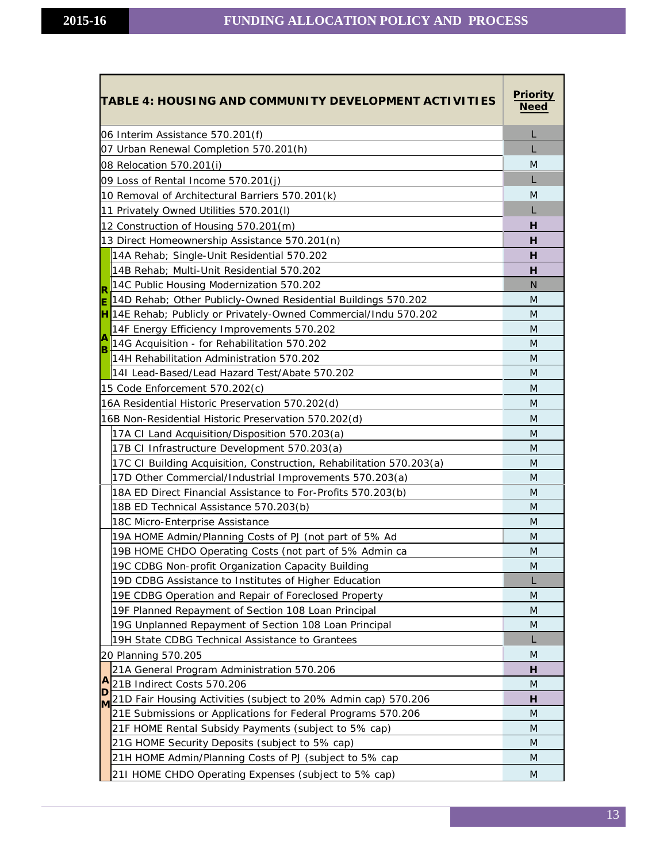| TABLE 4: HOUSING AND COMMUNITY DEVELOPMENT ACTIVITIES                   | <u>Priority</u><br><b>Need</b> |
|-------------------------------------------------------------------------|--------------------------------|
| 06 Interim Assistance 570.201(f)                                        |                                |
| 07 Urban Renewal Completion 570.201(h)                                  |                                |
| 08 Relocation 570.201(i)                                                | M                              |
| 09 Loss of Rental Income 570.201(j)                                     |                                |
| 10 Removal of Architectural Barriers 570.201(k)                         | M                              |
| 11 Privately Owned Utilities 570.201(I)                                 |                                |
| 12 Construction of Housing 570.201(m)                                   | н                              |
| 13 Direct Homeownership Assistance 570.201(n)                           | н                              |
| 14A Rehab; Single-Unit Residential 570.202                              | н                              |
| 14B Rehab; Multi-Unit Residential 570.202                               | н                              |
| 14C Public Housing Modernization 570.202                                | N                              |
| R<br>14D Rehab; Other Publicly-Owned Residential Buildings 570.202<br>E | M                              |
| Iн<br>14E Rehab; Publicly or Privately-Owned Commercial/Indu 570.202    | M                              |
| 14F Energy Efficiency Improvements 570.202                              | M                              |
| A<br>14G Acquisition - for Rehabilitation 570.202<br>lв                 | M                              |
| 14H Rehabilitation Administration 570.202                               | M                              |
| 141 Lead-Based/Lead Hazard Test/Abate 570.202                           | M                              |
| 15 Code Enforcement 570.202(c)                                          | M                              |
| 16A Residential Historic Preservation 570.202(d)                        | M                              |
| 16B Non-Residential Historic Preservation 570.202(d)                    | M                              |
| 17A CI Land Acquisition/Disposition 570.203(a)                          | M                              |
| 17B CI Infrastructure Development 570.203(a)                            | M                              |
| 17C CI Building Acquisition, Construction, Rehabilitation 570.203(a)    | M                              |
| 17D Other Commercial/Industrial Improvements 570.203(a)                 | M                              |
| 18A ED Direct Financial Assistance to For-Profits 570.203(b)            | M                              |
| 18B ED Technical Assistance 570.203(b)                                  | M                              |
| 18C Micro-Enterprise Assistance                                         | M                              |
| 19A HOME Admin/Planning Costs of PJ (not part of 5% Ad                  | M                              |
| 19B HOME CHDO Operating Costs (not part of 5% Admin ca                  | M                              |
| 19C CDBG Non-profit Organization Capacity Building                      | M                              |
| 19D CDBG Assistance to Institutes of Higher Education                   |                                |
| 19E CDBG Operation and Repair of Foreclosed Property                    | M                              |
| 19F Planned Repayment of Section 108 Loan Principal                     | M                              |
| 19G Unplanned Repayment of Section 108 Loan Principal                   | M                              |
| 19H State CDBG Technical Assistance to Grantees                         |                                |
| 20 Planning 570.205                                                     | M                              |
| 21A General Program Administration 570.206                              | н                              |
| A<br>21B Indirect Costs 570.206<br>ID                                   | M                              |
| 21D Fair Housing Activities (subject to 20% Admin cap) 570.206<br>M     | н                              |
| 21E Submissions or Applications for Federal Programs 570.206            | M                              |
| 21F HOME Rental Subsidy Payments (subject to 5% cap)                    | M                              |
| 21G HOME Security Deposits (subject to 5% cap)                          | M                              |
| 21H HOME Admin/Planning Costs of PJ (subject to 5% cap                  | M                              |
| 21I HOME CHDO Operating Expenses (subject to 5% cap)                    | M                              |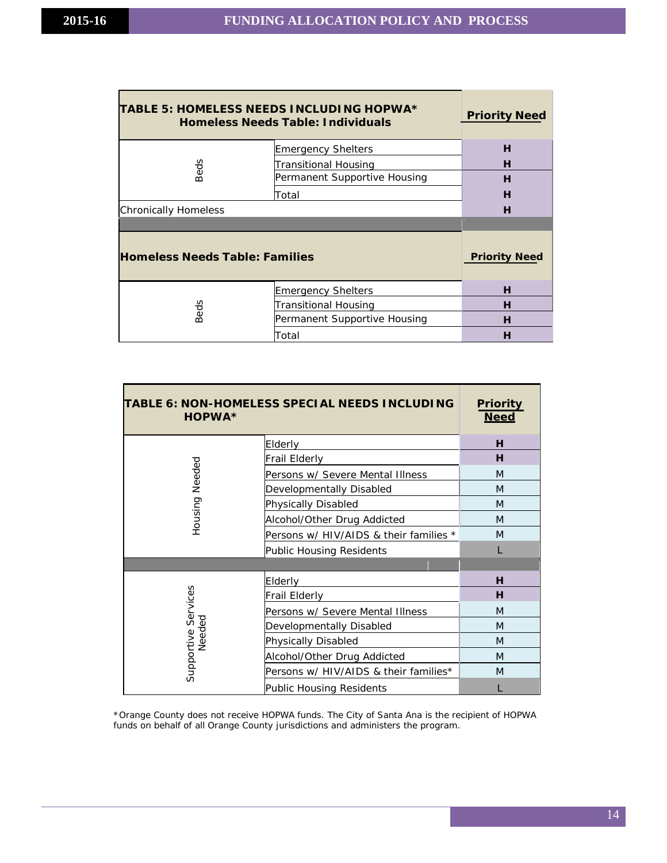| TABLE 5: HOMELESS NEEDS INCLUDING HOPWA*<br><b>Homeless Needs Table: Individuals</b> | <b>Priority Need</b>         |                      |
|--------------------------------------------------------------------------------------|------------------------------|----------------------|
| Beds                                                                                 | <b>Emergency Shelters</b>    | н                    |
|                                                                                      | <b>Transitional Housing</b>  | н                    |
|                                                                                      | Permanent Supportive Housing | н                    |
|                                                                                      | Total                        | н                    |
| <b>Chronically Homeless</b>                                                          | н                            |                      |
|                                                                                      |                              |                      |
|                                                                                      |                              |                      |
| <b>Homeless Needs Table: Families</b>                                                |                              | <b>Priority Need</b> |
|                                                                                      | <b>Emergency Shelters</b>    | н                    |
|                                                                                      | <b>Transitional Housing</b>  | н                    |
| Beds                                                                                 | Permanent Supportive Housing | н                    |

| TABLE 6: NON-HOMELESS SPECIAL NEEDS INCLUDING<br><b>HOPWA*</b> |                                        | <b>Priority</b><br><b>Need</b> |
|----------------------------------------------------------------|----------------------------------------|--------------------------------|
|                                                                | Elderly                                | н                              |
| Needed<br>Housing                                              | <b>Frail Elderly</b>                   | н                              |
|                                                                | Persons w/ Severe Mental Illness       | M                              |
|                                                                | Developmentally Disabled               | M                              |
|                                                                | Physically Disabled                    | M                              |
|                                                                | Alcohol/Other Drug Addicted            | M                              |
|                                                                | Persons w/ HIV/AIDS & their families * | M                              |
|                                                                | <b>Public Housing Residents</b>        |                                |
|                                                                |                                        |                                |
| Supportive Services<br>Needed                                  | Elderly                                | н                              |
|                                                                | Frail Elderly                          | н                              |
|                                                                | Persons w/ Severe Mental Illness       | M                              |
|                                                                | Developmentally Disabled               | M                              |
|                                                                | Physically Disabled                    | M                              |
|                                                                | Alcohol/Other Drug Addicted            | M                              |
|                                                                | Persons w/ HIV/AIDS & their families*  | M                              |
|                                                                | Public Housing Residents               |                                |

\*Orange County does not receive HOPWA funds. The City of Santa Ana is the recipient of HOPWA funds on behalf of all Orange County jurisdictions and administers the program.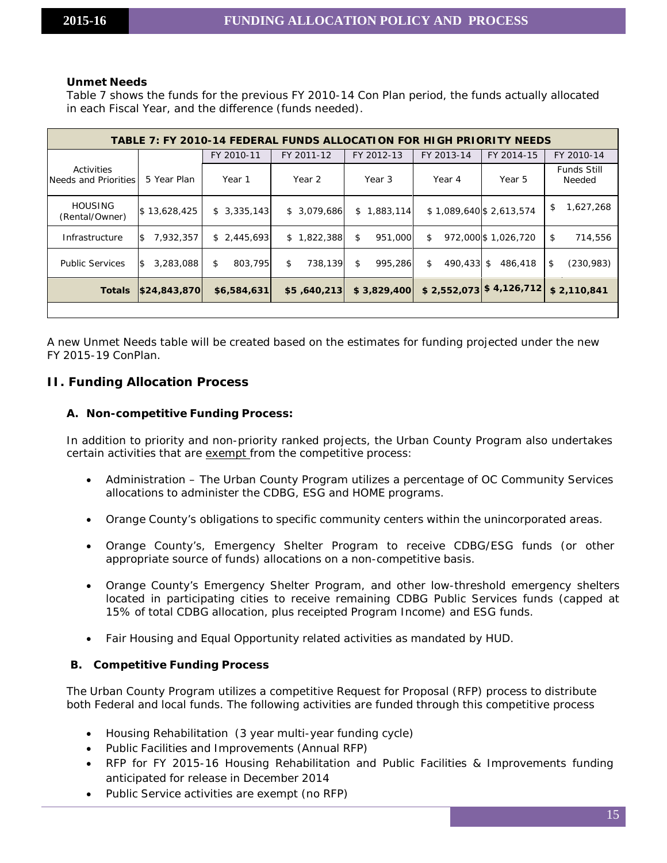#### **Unmet Needs**

Table 7 shows the funds for the previous FY 2010-14 Con Plan period, the funds actually allocated in each Fiscal Year, and the difference (funds needed).

| TABLE 7: FY 2010-14 FEDERAL FUNDS ALLOCATION FOR HIGH PRIORITY NEEDS |                  |               |               |                |                  |                           |                              |
|----------------------------------------------------------------------|------------------|---------------|---------------|----------------|------------------|---------------------------|------------------------------|
|                                                                      |                  | FY 2010-11    | FY 2011-12    | FY 2012-13     | FY 2013-14       | FY 2014-15                | FY 2010-14                   |
| Activities<br>Needs and Priorities                                   | 5 Year Plan      | Year 1        | Year 2        | Year 3         | Year 4           | Year 5                    | <b>Funds Still</b><br>Needed |
| <b>HOUSING</b><br>(Rental/Owner)                                     | \$13,628,425     | \$3,335,143   | \$3,079,686   | ,883,114<br>\$ |                  | \$1,089,640 \$2,613,574   | 1,627,268<br>\$              |
| Infrastructure                                                       | 1\$<br>7,932,357 | \$2,445,693   | \$1,822,388   | \$<br>951,000  | \$               | 972,000 \$1,026,720       | \$<br>714,556                |
| <b>Public Services</b>                                               | 1\$<br>3,283,088 | \$<br>803,795 | \$<br>738,139 | \$<br>995.286  | \$<br>490.433 \$ | 486,418                   | \$<br>(230, 983)             |
| <b>Totals</b>                                                        | \$24,843,870     | \$6,584,631   | \$5,640,213   | \$3,829,400    |                  | $$2,552,073$ $$4,126,712$ | \$2,110,841                  |
|                                                                      |                  |               |               |                |                  |                           |                              |

A new Unmet Needs table will be created based on the estimates for funding projected under the new FY 2015-19 ConPlan.

# <span id="page-14-1"></span><span id="page-14-0"></span>**II. Funding Allocation Process**

#### **A. Non-competitive Funding Process:**

In addition to priority and non-priority ranked projects, the Urban County Program also undertakes certain activities that are exempt from the competitive process:

- Administration The Urban County Program utilizes a percentage of OC Community Services allocations to administer the CDBG, ESG and HOME programs.
- Orange County's obligations to specific community centers within the unincorporated areas.
- Orange County's, Emergency Shelter Program to receive CDBG/ESG funds (or other appropriate source of funds) allocations on a non-competitive basis.
- Orange County's Emergency Shelter Program, and other low-threshold emergency shelters located in participating cities to receive remaining CDBG Public Services funds (capped at 15% of total CDBG allocation, plus receipted Program Income) and ESG funds.
- Fair Housing and Equal Opportunity related activities as mandated by HUD.

# **B. Competitive Funding Process**

The Urban County Program utilizes a competitive Request for Proposal (RFP) process to distribute both Federal and local funds. The following activities are funded through this competitive process

- Housing Rehabilitation (3 year multi-year funding cycle)
- Public Facilities and Improvements (Annual RFP)
- RFP for FY 2015-16 Housing Rehabilitation and Public Facilities & Improvements funding anticipated for release in December 2014
- Public Service activities are exempt (no RFP)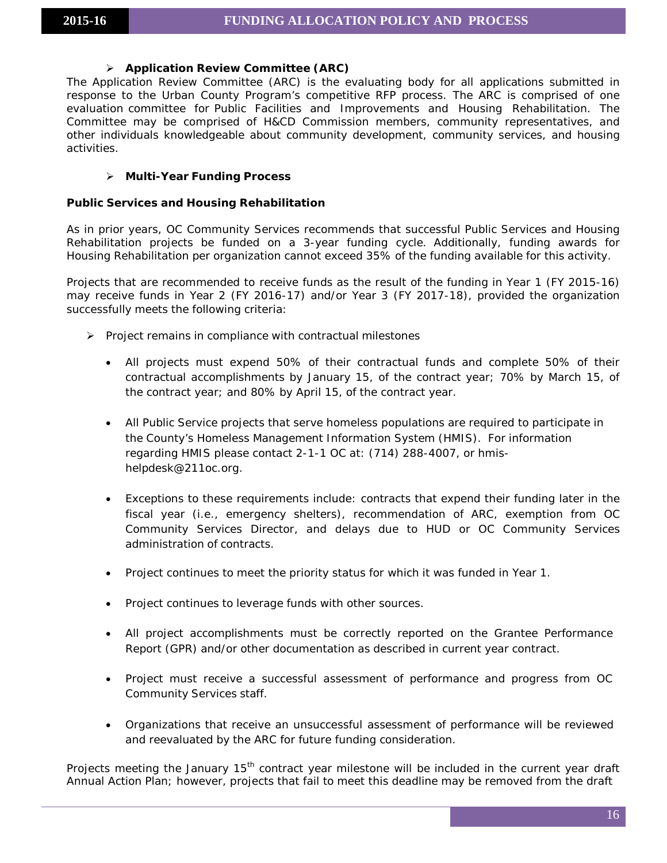# **Application Review Committee (ARC)**

The Application Review Committee (ARC) is the evaluating body for all applications submitted in response to the Urban County Program's competitive RFP process. The ARC is comprised of one evaluation committee for Public Facilities and Improvements and Housing Rehabilitation. The Committee may be comprised of H&CD Commission members, community representatives, and other individuals knowledgeable about community development, community services, and housing activities.

# **Multi-Year Funding Process**

# **Public Services and Housing Rehabilitation**

As in prior years, OC Community Services recommends that successful Public Services and Housing Rehabilitation projects be funded on a 3-year funding cycle. Additionally, funding awards for Housing Rehabilitation per organization cannot exceed 35% of the funding available for this activity.

Projects that are recommended to receive funds as the result of the funding in Year 1 (FY 2015-16) may receive funds in Year 2 (FY 2016-17) and/or Year 3 (FY 2017-18), provided the organization successfully meets the following criteria:

- $\triangleright$  Project remains in compliance with contractual milestones
	- All projects must expend 50% of their contractual funds and complete 50% of their contractual accomplishments by January 15, of the contract year; 70% by March 15, of the contract year; and 80% by April 15, of the contract year.
	- All Public Service projects that serve homeless populations are required to participate in the County's Homeless Management Information System (HMIS). For information regarding HMIS please contact 2-1-1 OC at: (714) 288-4007, or hmis[helpdesk@211oc.org.](mailto:helpdesk@211oc.org)
	- Exceptions to these requirements include: contracts that expend their funding later in the fiscal year (i.e., emergency shelters), recommendation of ARC, exemption from OC Community Services Director, and delays due to HUD or OC Community Services administration of contracts.
	- Project continues to meet the priority status for which it was funded in Year 1.
	- Project continues to leverage funds with other sources.
	- All project accomplishments must be correctly reported on the Grantee Performance Report (GPR) and/or other documentation as described in current year contract.
	- Project must receive a successful assessment of performance and progress from OC Community Services staff.
	- Organizations that receive an unsuccessful assessment of performance will be reviewed and reevaluated by the ARC for future funding consideration.

Projects meeting the January 15<sup>th</sup> contract year milestone will be included in the current year draft Annual Action Plan; however, projects that fail to meet this deadline may be removed from the draft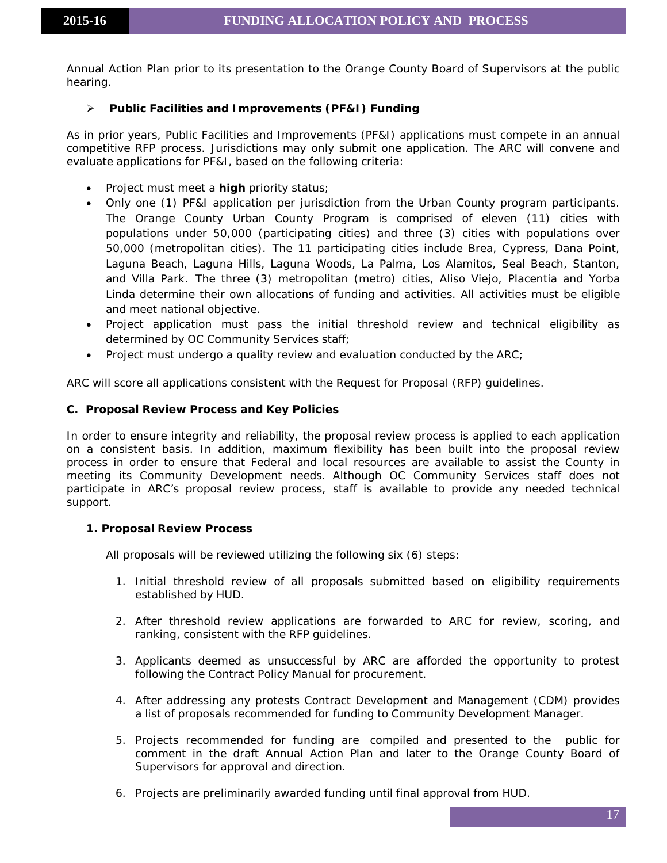Annual Action Plan prior to its presentation to the Orange County Board of Supervisors at the public hearing.

# **Public Facilities and Improvements (PF&I) Funding**

As in prior years, Public Facilities and Improvements (PF&I) applications must compete in an annual competitive RFP process. Jurisdictions may only submit one application. The ARC will convene and evaluate applications for PF&I, based on the following criteria:

- Project must meet a **high** priority status;
- Only one (1) PF&I application per jurisdiction from the Urban County program participants. The Orange County Urban County Program is comprised of eleven (11) cities with populations under 50,000 (participating cities) and three (3) cities with populations over 50,000 (metropolitan cities). The 11 participating cities include Brea, Cypress, Dana Point, Laguna Beach, Laguna Hills, Laguna Woods, La Palma, Los Alamitos, Seal Beach, Stanton, and Villa Park. The three (3) metropolitan (metro) cities, Aliso Viejo, Placentia and Yorba Linda determine their own allocations of funding and activities. All activities must be eligible and meet national objective.
- Project application must pass the initial threshold review and technical eligibility as determined by OC Community Services staff;
- Project must undergo a quality review and evaluation conducted by the ARC;

ARC will score all applications consistent with the Request for Proposal (RFP) guidelines.

#### <span id="page-16-0"></span>**C. Proposal Review Process and Key Policies**

In order to ensure integrity and reliability, the proposal review process is applied to each application on a consistent basis. In addition, maximum flexibility has been built into the proposal review process in order to ensure that Federal and local resources are available to assist the County in meeting its Community Development needs. Although OC Community Services staff does not participate in ARC's proposal review process, staff is available to provide any needed technical support.

# **1. Proposal Review Process**

All proposals will be reviewed utilizing the following six (6) steps:

- 1. Initial threshold review of all proposals submitted based on eligibility requirements established by HUD.
- 2. After threshold review applications are forwarded to ARC for review, scoring, and ranking, consistent with the RFP guidelines.
- 3. Applicants deemed as unsuccessful by ARC are afforded the opportunity to protest following the Contract Policy Manual for procurement.
- 4. After addressing any protests Contract Development and Management (CDM) provides a list of proposals recommended for funding to Community Development Manager.
- 5. Projects recommended for funding are compiled and presented to the public for comment in the draft Annual Action Plan and later to the Orange County Board of Supervisors for approval and direction.
- 6. Projects are preliminarily awarded funding until final approval from HUD.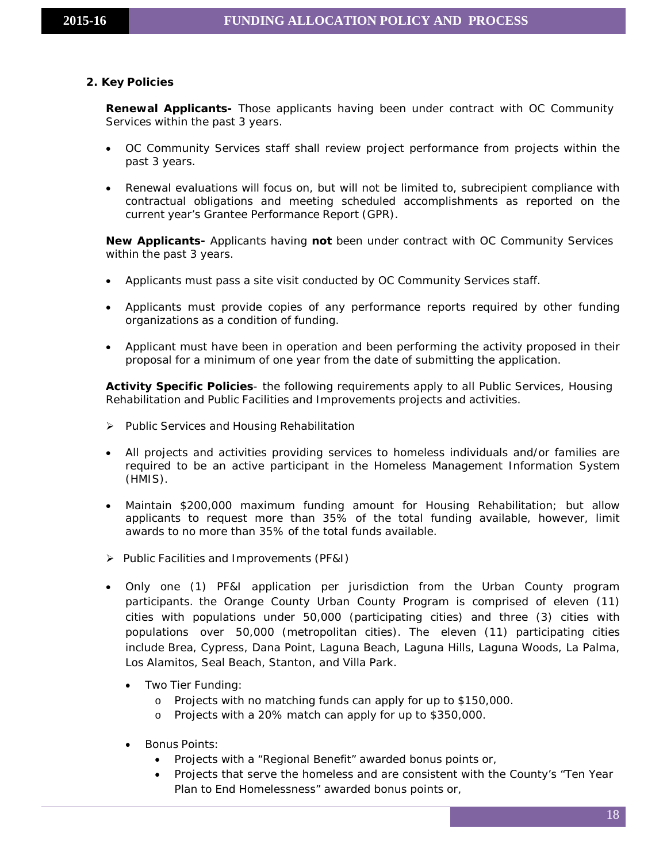# **2. Key Policies**

**Renewal Applicants-** Those applicants having been under contract with OC Community Services within the past 3 years.

- OC Community Services staff shall review project performance from projects within the past 3 years.
- Renewal evaluations will focus on, but will not be limited to, subrecipient compliance with contractual obligations and meeting scheduled accomplishments as reported on the current year's Grantee Performance Report (GPR).

**New Applicants-** Applicants having **not** been under contract with OC Community Services within the past 3 years.

- Applicants must pass a site visit conducted by OC Community Services staff.
- Applicants must provide copies of any performance reports required by other funding organizations as a condition of funding.
- Applicant must have been in operation and been performing the activity proposed in their proposal for a minimum of one year from the date of submitting the application.

**Activity Specific Policies**- the following requirements apply to all Public Services, Housing Rehabilitation and Public Facilities and Improvements projects and activities.

- Public Services and Housing Rehabilitation
- All projects and activities providing services to homeless individuals and/or families are required to be an active participant in the Homeless Management Information System (HMIS).
- Maintain \$200,000 maximum funding amount for Housing Rehabilitation; but allow applicants to request more than 35% of the total funding available, however, limit awards to no more than 35% of the total funds available.
- Public Facilities and Improvements (PF&I)
- Only one (1) PF&I application per jurisdiction from the Urban County program participants. the Orange County Urban County Program is comprised of eleven (11) cities with populations under 50,000 (participating cities) and three (3) cities with populations over 50,000 (metropolitan cities). The eleven (11) participating cities include Brea, Cypress, Dana Point, Laguna Beach, Laguna Hills, Laguna Woods, La Palma, Los Alamitos, Seal Beach, Stanton, and Villa Park.
	- Two Tier Funding:
		- o Projects with no matching funds can apply for up to \$150,000.
		- o Projects with a 20% match can apply for up to \$350,000.
	- Bonus Points:
		- Projects with a "Regional Benefit" awarded bonus points or,
		- Projects that serve the homeless and are consistent with the County's "Ten Year Plan to End Homelessness" awarded bonus points or,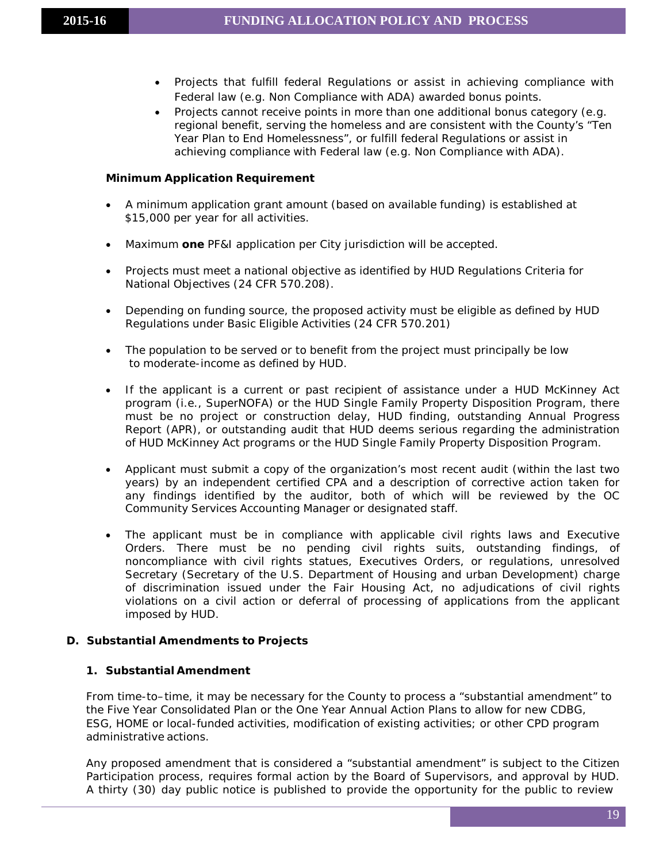- Projects that fulfill federal Regulations or assist in achieving compliance with Federal law (e.g. Non Compliance with ADA) awarded bonus points.
- Projects cannot receive points in more than one additional bonus category (e.g. regional benefit, serving the homeless and are consistent with the County's "Ten Year Plan to End Homelessness", or fulfill federal Regulations or assist in achieving compliance with Federal law (e.g. Non Compliance with ADA).

#### **Minimum Application Requirement**

- A minimum application grant amount (based on available funding) is established at \$15,000 per year for all activities.
- Maximum **one** PF&I application per City jurisdiction will be accepted.
- Projects must meet a national objective as identified by HUD Regulations Criteria for National Objectives (24 CFR 570.208).
- Depending on funding source, the proposed activity must be eligible as defined by HUD Regulations under Basic Eligible Activities (24 CFR 570.201)
- The population to be served or to benefit from the project must principally be low to moderate-income as defined by HUD.
- If the applicant is a current or past recipient of assistance under a HUD McKinney Act program (i.e., SuperNOFA) or the HUD Single Family Property Disposition Program, there must be no project or construction delay, HUD finding, outstanding Annual Progress Report (APR), or outstanding audit that HUD deems serious regarding the administration of HUD McKinney Act programs or the HUD Single Family Property Disposition Program.
- Applicant must submit a copy of the organization's most recent audit (within the last two years) by an independent certified CPA and a description of corrective action taken for any findings identified by the auditor, both of which will be reviewed by the OC Community Services Accounting Manager or designated staff.
- The applicant must be in compliance with applicable civil rights laws and Executive Orders. There must be no pending civil rights suits, outstanding findings, of noncompliance with civil rights statues, Executives Orders, or regulations, unresolved Secretary (Secretary of the U.S. Department of Housing and urban Development) charge of discrimination issued under the Fair Housing Act, no adjudications of civil rights violations on a civil action or deferral of processing of applications from the applicant imposed by HUD.

# **D. Substantial Amendments to Projects**

# **1. Substantial Amendment**

From time-to–time, it may be necessary for the County to process a "substantial amendment" to the Five Year Consolidated Plan or the One Year Annual Action Plans to allow for new CDBG, ESG, HOME or local-funded activities, modification of existing activities; or other CPD program administrative actions.

Any proposed amendment that is considered a "substantial amendment" is subject to the Citizen Participation process, requires formal action by the Board of Supervisors, and approval by HUD. A thirty (30) day public notice is published to provide the opportunity for the public to review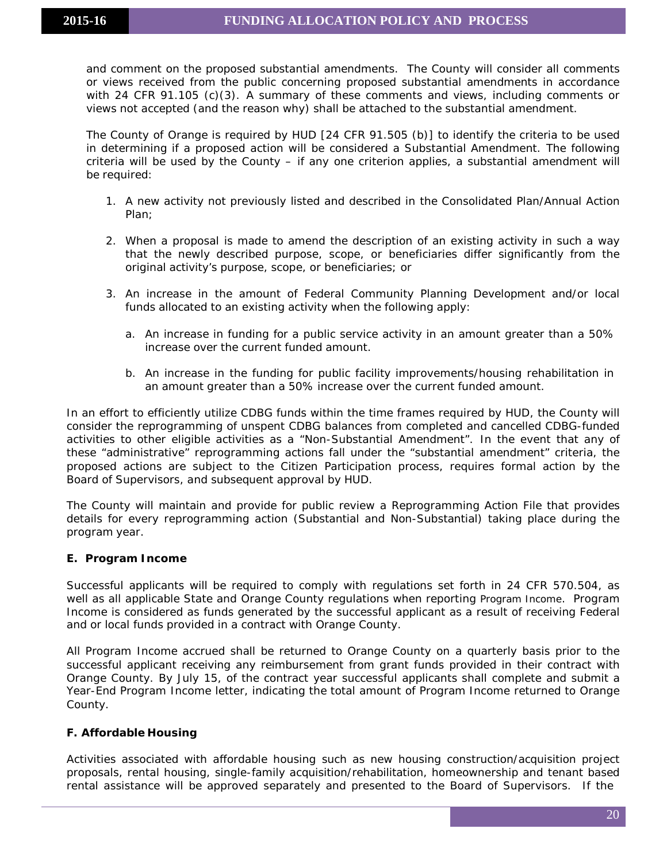and comment on the proposed substantial amendments. The County will consider all comments or views received from the public concerning proposed substantial amendments in accordance with 24 CFR 91.105 (c)(3). A summary of these comments and views, including comments or views not accepted (and the reason why) shall be attached to the substantial amendment.

The County of Orange is required by HUD [24 CFR 91.505 (b)] to identify the criteria to be used in determining if a proposed action will be considered a *Substantial Amendment.* The following criteria will be used by the County – if any one criterion applies, a substantial amendment will be required:

- 1. A new activity not previously listed and described in the Consolidated Plan/Annual Action Plan;
- 2. When a proposal is made to amend the description of an existing activity in such a way that the newly described purpose, scope, or beneficiaries differ significantly from the original activity's purpose, scope, or beneficiaries; or
- 3. An increase in the amount of Federal Community Planning Development and/or local funds allocated to an existing activity when the following apply:
	- a. An increase in funding for a public service activity in an amount greater than a 50% increase over the current funded amount.
	- b. An increase in the funding for public facility improvements/housing rehabilitation in an amount greater than a 50% increase over the current funded amount.

In an effort to efficiently utilize CDBG funds within the time frames required by HUD, the County will consider the reprogramming of unspent CDBG balances from completed and cancelled CDBG-funded activities to other eligible activities as a "Non-Substantial Amendment". In the event that any of these "administrative" reprogramming actions fall under the "substantial amendment" criteria, the proposed actions are subject to the Citizen Participation process, requires formal action by the Board of Supervisors, and subsequent approval by HUD.

The County will maintain and provide for public review a Reprogramming Action File that provides details for every reprogramming action (Substantial and Non-Substantial) taking place during the program year.

# <span id="page-19-0"></span>**E. Program Income**

Successful applicants will be required to comply with regulations set forth in 24 CFR 570.504, as well as all applicable State and Orange County regulations when reporting Program Income. Program Income is considered as funds generated by the successful applicant as a result of receiving Federal and or local funds provided in a contract with Orange County.

All Program Income accrued shall be returned to Orange County on a quarterly basis prior to the successful applicant receiving any reimbursement from grant funds provided in their contract with Orange County. By July 15, of the contract year successful applicants shall complete and submit a Year-End Program Income letter, indicating the total amount of Program Income returned to Orange County.

# <span id="page-19-1"></span>**F. Affordable Housing**

Activities associated with affordable housing such as new housing construction/acquisition project proposals, rental housing, single-family acquisition/rehabilitation, homeownership and tenant based rental assistance will be approved separately and presented to the Board of Supervisors. If the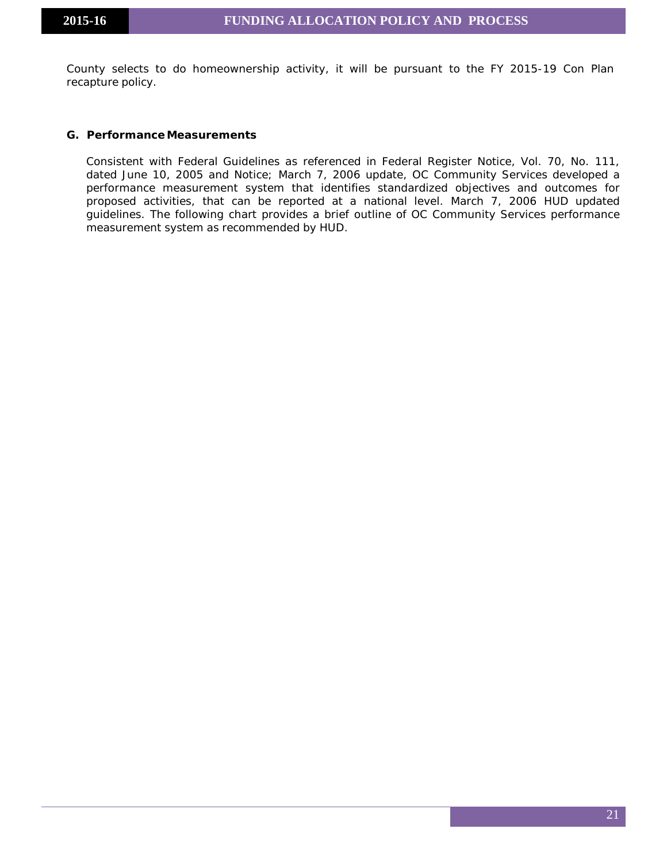County selects to do homeownership activity, it will be pursuant to the FY 2015-19 Con Plan recapture policy.

#### <span id="page-20-0"></span>**G. Performance Measurements**

Consistent with Federal Guidelines as referenced in Federal Register Notice, Vol. 70, No. 111, dated June 10, 2005 and Notice; March 7, 2006 update, OC Community Services developed a performance measurement system that identifies standardized objectives and outcomes for proposed activities, that can be reported at a national level. March 7, 2006 HUD updated guidelines. The following chart provides a brief outline of OC Community Services performance measurement system as recommended by HUD.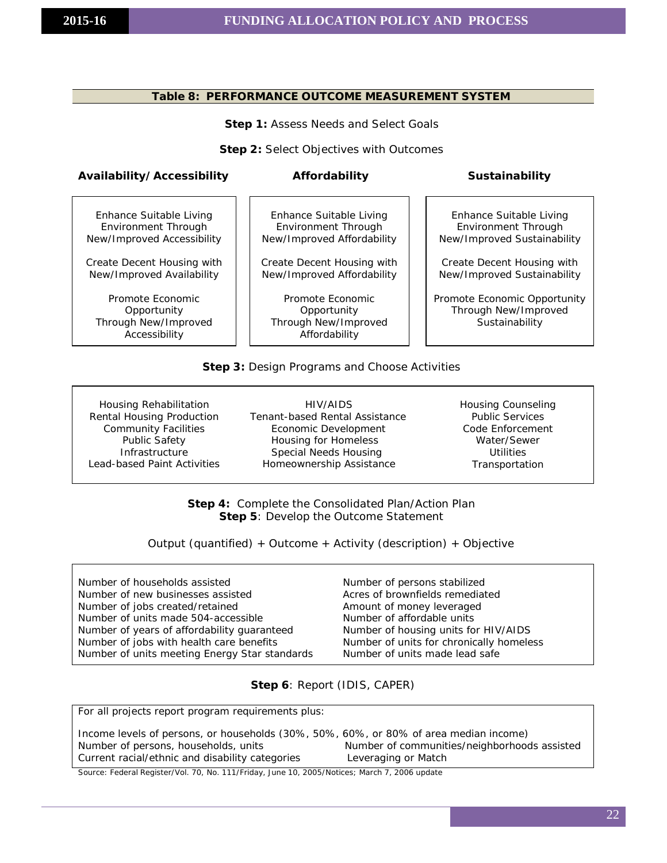#### **Table 8: PERFORMANCE OUTCOME MEASUREMENT SYSTEM**

**Step 1:** Assess Needs and Select Goals

**Step 2:** Select Objectives with Outcomes

#### **Availability/Accessibility Affordability Sustainability**

Enhance Suitable Living Environment Through New/Improved Accessibility

Create Decent Housing with New/Improved Availability

Promote Economic **Opportunity** Through New/Improved Accessibility

Enhance Suitable Living Environment Through New/Improved Affordability

Create Decent Housing with New/Improved Affordability

Promote Economic **Opportunity** Through New/Improved Affordability

Enhance Suitable Living Environment Through New/Improved Sustainability

Create Decent Housing with New/Improved Sustainability

Promote Economic Opportunity Through New/Improved **Sustainability** 

#### **Step 3:** Design Programs and Choose Activities

Housing Rehabilitation Rental Housing Production Community Facilities Public Safety **Infrastructure** Lead-based Paint Activities

HIV/AIDS Tenant-based Rental Assistance Economic Development Housing for Homeless Special Needs Housing Homeownership Assistance

Housing Counseling Public Services Code Enforcement Water/Sewer Utilities Transportation

**Step 4:** Complete the Consolidated Plan/Action Plan **Step 5**: Develop the Outcome Statement

Output (quantified) + Outcome + Activity (description) + Objective

| Number of households assisted                 | Number of persons stabilized             |
|-----------------------------------------------|------------------------------------------|
| Number of new businesses assisted             | Acres of brownfields remediated          |
| Number of jobs created/retained               | Amount of money leveraged                |
| Number of units made 504-accessible           | Number of affordable units               |
| Number of years of affordability guaranteed   | Number of housing units for HIV/AIDS     |
| Number of jobs with health care benefits      | Number of units for chronically homeless |
| Number of units meeting Energy Star standards | Number of units made lead safe           |

**Step 6**: Report (IDIS, CAPER)

For all projects report program requirements plus:

| Income levels of persons, or households (30%, 50%, 60%, or 80% of area median income) |                                              |
|---------------------------------------------------------------------------------------|----------------------------------------------|
| Number of persons, households, units                                                  | Number of communities/neighborhoods assisted |
| Current racial/ethnic and disability categories                                       | Leveraging or Match                          |

Source: Federal Register/Vol. 70, No. 111/Friday, June 10, 2005/Notices; March 7, 2006 update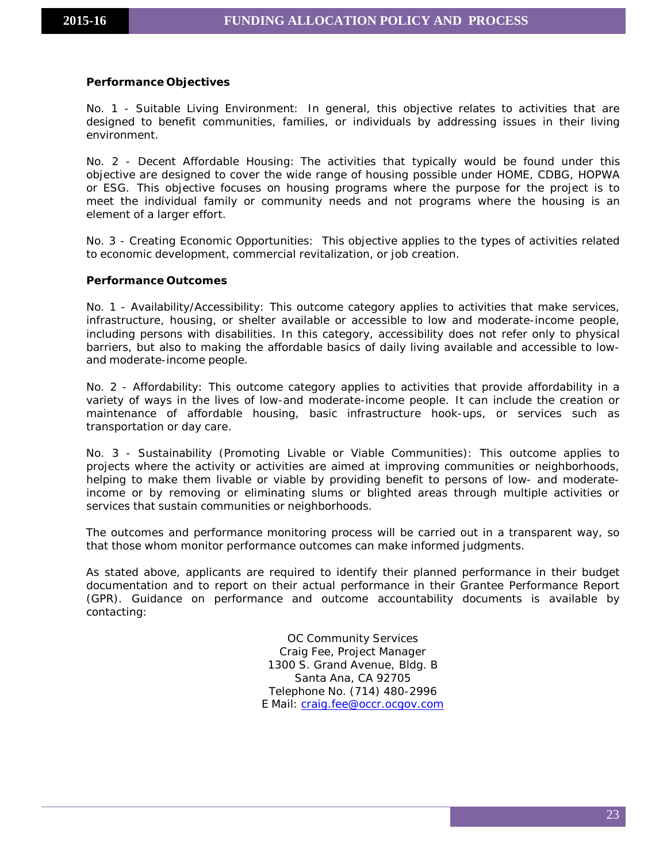#### **Performance Objectives**

No. 1 - Suitable Living Environment: In general, this objective relates to activities that are designed to benefit communities, families, or individuals by addressing issues in their living environment.

No. 2 - Decent Affordable Housing: The activities that typically would be found under this objective are designed to cover the wide range of housing possible under HOME, CDBG, HOPWA or ESG. This objective focuses on housing programs where the purpose for the project is to meet the individual family or community needs and not programs where the housing is an element of a larger effort.

No. 3 - Creating Economic Opportunities: This objective applies to the types of activities related to economic development, commercial revitalization, or job creation.

#### **Performance Outcomes**

No. 1 - Availability/Accessibility: This outcome category applies to activities that make services, infrastructure, housing, or shelter available or accessible to low and moderate-income people, including persons with disabilities. In this category, accessibility does not refer only to physical barriers, but also to making the affordable basics of daily living available and accessible to lowand moderate-income people.

No. 2 - Affordability: This outcome category applies to activities that provide affordability in a variety of ways in the lives of low-and moderate-income people. It can include the creation or maintenance of affordable housing, basic infrastructure hook-ups, or services such as transportation or day care.

No. 3 - Sustainability (Promoting Livable or Viable Communities): This outcome applies to projects where the activity or activities are aimed at improving communities or neighborhoods, helping to make them livable or viable by providing benefit to persons of low- and moderateincome or by removing or eliminating slums or blighted areas through multiple activities or services that sustain communities or neighborhoods.

The outcomes and performance monitoring process will be carried out in a transparent way, so that those whom monitor performance outcomes can make informed judgments.

As stated above, applicants are required to identify their planned performance in their budget documentation and to report on their actual performance in their Grantee Performance Report (GPR). Guidance on performance and outcome accountability documents is available by contacting:

> OC Community Services Craig Fee, Project Manager 1300 S. Grand Avenue, Bldg. B Santa Ana, CA 92705 Telephone No. (714) 480-2996 E Mail: [craig.fee@occr.ocgov.com](mailto:craig.fee@occr.ocgov.com)